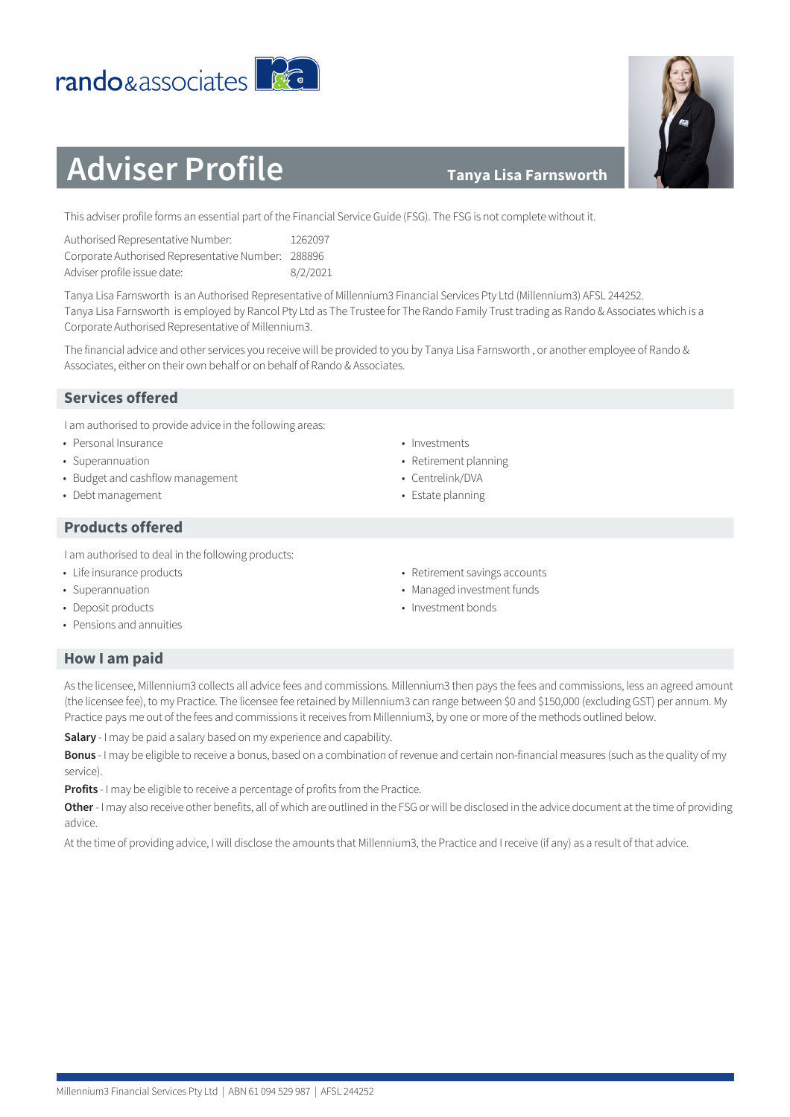#### Millennium3 Financial Services Pty Ltd | ABN 61 094 529 987 | AFSL 244252

#### **Tanya Lisa Farnsworth**

This adviser profile forms an essential part of the Financial Service Guide (FSG). The FSG is not complete without it.

| Authorised Representative Number:                  | 1262097  |
|----------------------------------------------------|----------|
| Corporate Authorised Representative Number: 288896 |          |
| Adviser profile issue date:                        | 8/2/2021 |

rando&associates

Tanya Lisa Farnsworth is an Authorised Representative of Millennium3 Financial Services Pty Ltd (Millennium3) AFSL 244252. Tanya Lisa Farnsworth is employed by Rancol Pty Ltd as The Trustee for The Rando Family Trust trading as Rando & Associates which is a Corporate Authorised Representative of Millennium3.

The financial advice and other services you receive will be provided to you by Tanya Lisa Farnsworth , or another employee of Rando & Associates, either on their own behalf or on behalf of Rando & Associates.

## **Services offered**

I am authorised to provide advice in the following areas:

- Personal Insurance
- Superannuation
- Budget and cashflow management
- Debt management

## **Products offered**

I am authorised to deal in the following products:

- Life insurance products
- Superannuation
- Deposit products
- Pensions and annuities
- Investments
- Retirement planning
- Centrelink/DVA
- Estate planning
- Retirement savings accounts
- Managed investment funds
- Investment bonds

## **How I am paid**

As the licensee, Millennium3 collects all advice fees and commissions. Millennium3 then pays the fees and commissions, less an agreed amount (the licensee fee), to my Practice. The licensee fee retained by Millennium3 can range between \$0 and \$150,000 (excluding GST) per annum. My Practice pays me out of the fees and commissions it receives from Millennium3, by one or more of the methods outlined below.

**Salary** - I may be paid a salary based on my experience and capability.

**Bonus** - I may be eligible to receive a bonus, based on a combination of revenue and certain non-financial measures (such as the quality of my service).

**Profits** - I may be eligible to receive a percentage of profits from the Practice.

**Other** - I may also receive other benefits, all of which are outlined in the FSG or will be disclosed in the advice document at the time of providing advice.

At the time of providing advice, I will disclose the amounts that Millennium3, the Practice and I receive (if any) as a result of that advice.



**PAGE**